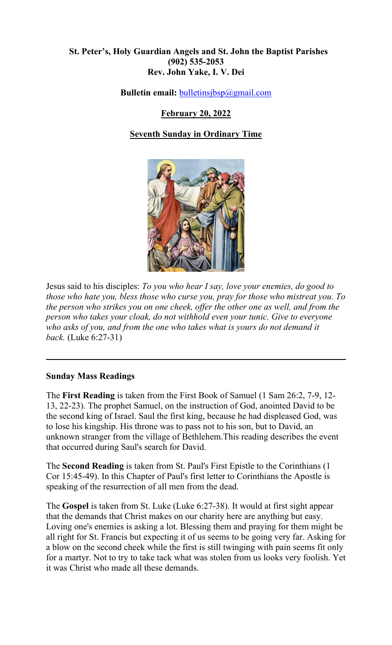## **St. Peter's, Holy Guardian Angels and St. John the Baptist Parishes (902) 535-2053 Rev. John Yake, I. V. Dei**

**Bulletin email:** [bulletinsjbsp@gmail.com](mailto:bulletinsjbsp@gmail.com)

# **February 20, 2022**

# **Seventh Sunday in Ordinary Time**



Jesus said to his disciples: *To you who hear I say, love your enemies, do good to those who hate you, bless those who curse you, pray for those who mistreat you. To the person who strikes you on one cheek, offer the other one as well, and from the person who takes your cloak, do not withhold even your tunic. Give to everyone who asks of you, and from the one who takes what is yours do not demand it back.* (Luke 6:27-31)

### **Sunday Mass Readings**

The **First Reading** is taken from the First Book of Samuel (1 Sam 26:2, 7-9, 12- 13, 22-23). The prophet Samuel, on the instruction of God, anointed David to be the second king of Israel. Saul the first king, because he had displeased God, was to lose his kingship. His throne was to pass not to his son, but to David, an unknown stranger from the village of Bethlehem.This reading describes the event that occurred during Saul's search for David.

The **Second Reading** is taken from St. Paul's First Epistle to the Corinthians (1 Cor 15:45-49). In this Chapter of Paul's first letter to Corinthians the Apostle is speaking of the resurrection of all men from the dead.

The **Gospel** is taken from St. Luke (Luke 6:27-38). It would at first sight appear that the demands that Christ makes on our charity here are anything but easy. Loving one's enemies is asking a lot. Blessing them and praying for them might be all right for St. Francis but expecting it of us seems to be going very far. Asking for a blow on the second cheek while the first is still twinging with pain seems fit only for a martyr. Not to try to take tack what was stolen from us looks very foolish. Yet it was Christ who made all these demands.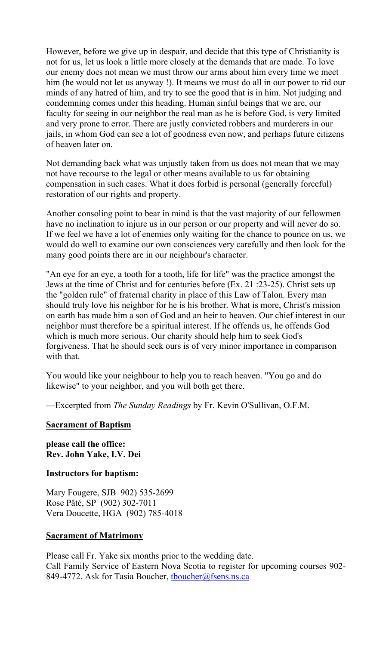However, before we give up in despair, and decide that this type of Christianity is not for us, let us look a little more closely at the demands that are made. To love our enemy does not mean we must throw our arms about him every time we meet him (he would not let us anyway !). It means we must do all in our power to rid our minds of any hatred of him, and try to see the good that is in him. Not judging and condemning comes under this heading. Human sinful beings that we are, our faculty for seeing in our neighbor the real man as he is before God, is very limited and very prone to error. There are justly convicted robbers and murderers in our jails, in whom God can see a lot of goodness even now, and perhaps future citizens of heaven later on.

Not demanding back what was unjustly taken from us does not mean that we may not have recourse to the legal or other means available to us for obtaining compensation in such cases. What it does forbid is personal (generally forceful) restoration of our rights and property.

Another consoling point to bear in mind is that the vast majority of our fellowmen have no inclination to injure us in our person or our property and will never do so. If we feel we have a lot of enemies only waiting for the chance to pounce on us, we would do well to examine our own consciences very carefully and then look for the many good points there are in our neighbour's character.

"An eye for an eye, a tooth for a tooth, life for life" was the practice amongst the Jews at the time of Christ and for centuries before (Ex. 21 :23-25). Christ sets up the "golden rule" of fraternal charity in place of this Law of Talon. Every man should truly love his neighbor for he is his brother. What is more, Christ's mission on earth has made him a son of God and an heir to heaven. Our chief interest in our neighbor must therefore be a spiritual interest. If he offends us, he offends God which is much more serious. Our charity should help him to seek God's forgiveness. That he should seek ours is of very minor importance in comparison with that.

You would like your neighbour to help you to reach heaven. "You go and do likewise" to your neighbor, and you will both get there.

—Excerpted from *The Sunday Readings* by Fr. Kevin O'Sullivan, O.F.M.

#### **Sacrament of Baptism**

**please call the office: Rev. John Yake, I.V. Dei** 

### **Instructors for baptism:**

Mary Fougere, SJB 902) 535-2699 Rose Pâté, SP (902) 302-7011 Vera Doucette, HGA (902) 785-4018

#### **Sacrament of Matrimony**

Please call Fr. Yake six months prior to the wedding date. Call Family Service of Eastern Nova Scotia to register for upcoming courses 902- 849-4772. Ask for Tasia Boucher, thoucher@fsens.ns.ca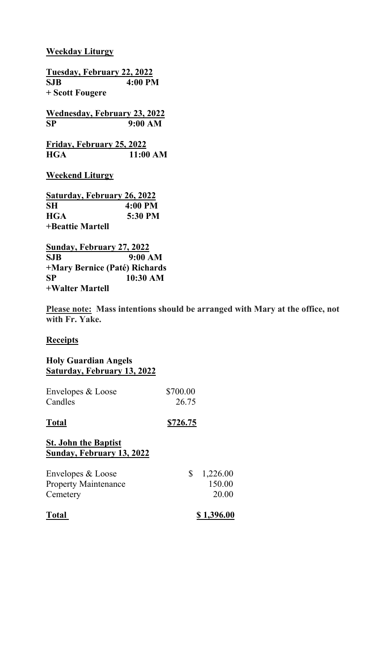## **Weekday Liturgy**

**Tuesday, February 22, 2022 SJB 4:00 PM + Scott Fougere Wednesday, February 23, 2022 SP 9:00 AM Friday, February 25, 2022 HGA 11:00 AM Weekend Liturgy Saturday, February 26, 2022 SH 4:00 PM HGA 5:30 PM +Beattie Martell**

**Sunday, February 27, 2022 SJB 9:00 AM +Mary Bernice (Paté) Richards SP 10:30 AM +Walter Martell**

**Please note: Mass intentions should be arranged with Mary at the office, not with Fr. Yake.** 

### **Receipts**

## **Holy Guardian Angels Saturday, February 13, 2022**

| Envelopes & Loose<br>Candles                                 | \$700.00<br>26.75 |                             |
|--------------------------------------------------------------|-------------------|-----------------------------|
| <b>Total</b>                                                 | \$726.75          |                             |
| <b>St. John the Baptist</b><br>Sunday, February 13, 2022     |                   |                             |
| Envelopes & Loose<br><b>Property Maintenance</b><br>Cemetery | \$                | 1,226.00<br>150.00<br>20.00 |
| Total                                                        |                   | \$1,396.00                  |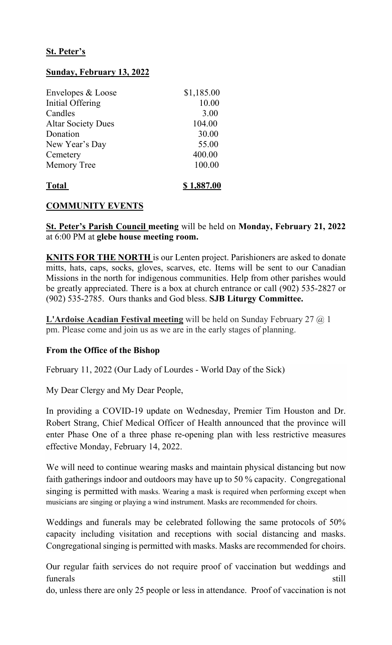# **St. Peter's**

## **Sunday, February 13, 2022**

| Envelopes & Loose         | \$1,185.00 |
|---------------------------|------------|
| Initial Offering          | 10.00      |
| Candles                   | 3.00       |
| <b>Altar Society Dues</b> | 104.00     |
| Donation                  | 30.00      |
| New Year's Day            | 55.00      |
| Cemetery                  | 400.00     |
| <b>Memory Tree</b>        | 100.00     |
| <b>Total</b>              | \$1,887.00 |

# **COMMUNITY EVENTS**

**St. Peter's Parish Council meeting** will be held on **Monday, February 21, 2022** at 6:00 PM at **glebe house meeting room.**

**KNITS FOR THE NORTH** is our Lenten project. Parishioners are asked to donate mitts, hats, caps, socks, gloves, scarves, etc. Items will be sent to our Canadian Missions in the north for indigenous communities. Help from other parishes would be greatly appreciated. There is a box at church entrance or call (902) 535-2827 or (902) 535-2785. Ours thanks and God bless. **SJB Liturgy Committee.**

**L'Ardoise Acadian Festival meeting** will be held on Sunday February 27 @ 1 pm. Please come and join us as we are in the early stages of planning.

### **From the Office of the Bishop**

February 11, 2022 (Our Lady of Lourdes - World Day of the Sick)

My Dear Clergy and My Dear People,

In providing a COVID-19 update on Wednesday, Premier Tim Houston and Dr. Robert Strang, Chief Medical Officer of Health announced that the province will enter Phase One of a three phase re-opening plan with less restrictive measures effective Monday, February 14, 2022.

We will need to continue wearing masks and maintain physical distancing but now faith gatherings indoor and outdoors may have up to 50 % capacity. Congregational singing is permitted with masks. Wearing a mask is required when performing except when musicians are singing or playing a wind instrument. Masks are recommended for choirs.

Weddings and funerals may be celebrated following the same protocols of 50% capacity including visitation and receptions with social distancing and masks. Congregational singing is permitted with masks. Masks are recommended for choirs.

Our regular faith services do not require proof of vaccination but weddings and funerals still

do, unless there are only 25 people or less in attendance. Proof of vaccination is not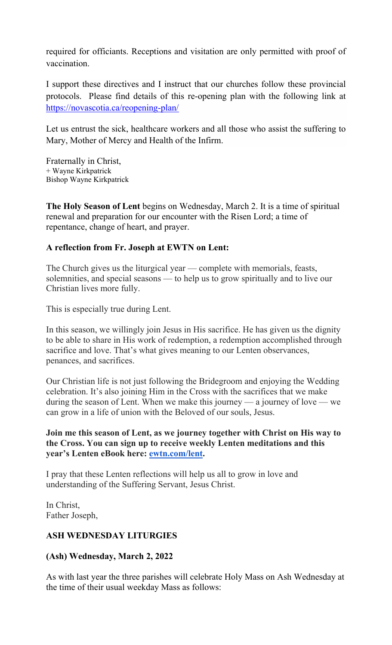required for officiants. Receptions and visitation are only permitted with proof of vaccination.

I support these directives and I instruct that our churches follow these provincial protocols. Please find details of this re-opening plan with the following link at <https://novascotia.ca/reopening-plan/>

Let us entrust the sick, healthcare workers and all those who assist the suffering to Mary, Mother of Mercy and Health of the Infirm.

Fraternally in Christ, + Wayne Kirkpatrick Bishop Wayne Kirkpatrick

**The Holy Season of Lent** begins on Wednesday, March 2. It is a time of spiritual renewal and preparation for our encounter with the Risen Lord; a time of repentance, change of heart, and prayer.

# **A reflection from Fr. Joseph at EWTN on Lent:**

The Church gives us the liturgical year — complete with memorials, feasts, solemnities, and special seasons — to help us to grow spiritually and to live our Christian lives more fully.

This is especially true during Lent.

In this season, we willingly join Jesus in His sacrifice. He has given us the dignity to be able to share in His work of redemption, a redemption accomplished through sacrifice and love. That's what gives meaning to our Lenten observances, penances, and sacrifices.

Our Christian life is not just following the Bridegroom and enjoying the Wedding celebration. It's also joining Him in the Cross with the sacrifices that we make during the season of Lent. When we make this journey — a journey of love — we can grow in a life of union with the Beloved of our souls, Jesus.

### **Join me this season of Lent, as we journey together with Christ on His way to the Cross. You can sign up to receive weekly Lenten meditations and this year's Lenten eBook here: [ewtn.com/lent.](https://emails.ewtn.com/e3t/Btc/GC+113/cwXhk04/VVSNVF55H58mW3lLtLB8b01YYW1TDTHt4FCpy_N1vWRsS3q3phV1-WJV7CgLxTW8dlqX21t0cD6W8gy2yN97_qr4W3LBBH_6hzf3ZW2LKY_s1-l4v5W969KS76LWCWxN8dVXntjP4lSW2_R0ls5dqbq_W3V5yFN55ps0bW39V8LS3jhCcYW4yWnKY3pWRWTW5s6H7n6XqVjjW7Kb26p5JTjkxW3T3Pwg4T3VQXN3Jc7P2xrkvdW6q3bf-5-ZkLCW596_lv105k1BW9jw5xY8WpBgTW3BQKsg7B066QN1Y8QBRbDt78W2bvw4m6Y_TXZW76Zwmb8DQWpzN7mFN5qfSbp8W2-XLqj2jX5FrW47WrHc8ftlsfW8vvLVd4kvcv7W4j0LfD84Nj3tW2WbYRZ8_q894W763zVS6j0rKz3js91)**

I pray that these Lenten reflections will help us all to grow in love and understanding of the Suffering Servant, Jesus Christ.

In Christ, Father Joseph,

# **ASH WEDNESDAY LITURGIES**

# **(Ash) Wednesday, March 2, 2022**

As with last year the three parishes will celebrate Holy Mass on Ash Wednesday at the time of their usual weekday Mass as follows: